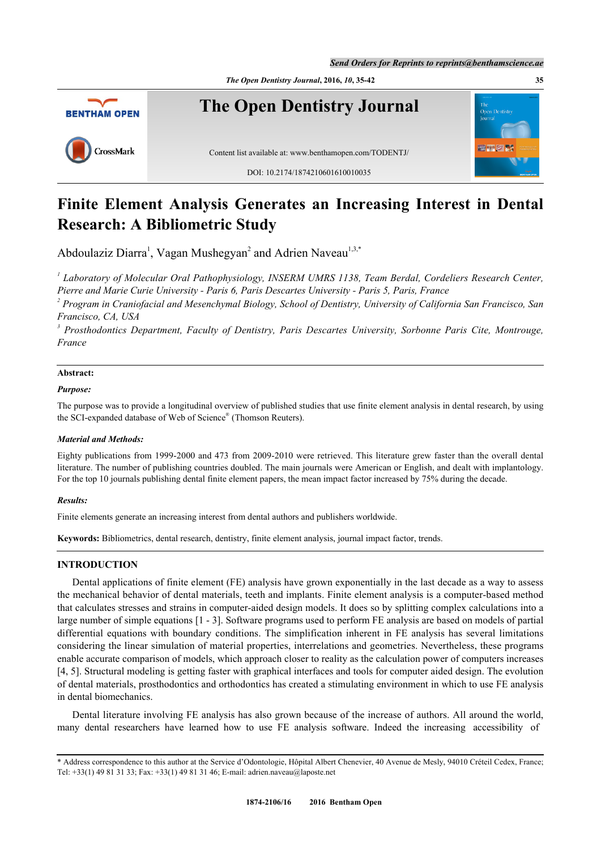

# **Finite Element Analysis Generates an Increasing Interest in Dental Research: A Bibliometric Study**

Abdoulaziz Diarra<sup>[1](#page-0-0)</sup>, Vagan Mushegyan<sup>[2](#page-0-1)</sup> and Adrien Naveau<sup>1,[3](#page-0-2),[\\*](#page-0-3)</sup>

<span id="page-0-0"></span>*1 Laboratory of Molecular Oral Pathophysiology, INSERM UMRS 1138, Team Berdal, Cordeliers Research Center, Pierre and Marie Curie University - Paris 6, Paris Descartes University - Paris 5, Paris, France*

<span id="page-0-1"></span>*2 Program in Craniofacial and Mesenchymal Biology, School of Dentistry, University of California San Francisco, San Francisco, CA, USA*

<span id="page-0-2"></span>*3 Prosthodontics Department, Faculty of Dentistry, Paris Descartes University, Sorbonne Paris Cite, Montrouge, France*

# **Abstract:**

### *Purpose:*

The purpose was to provide a longitudinal overview of published studies that use finite element analysis in dental research, by using the SCI-expanded database of Web of Science® (Thomson Reuters).

### *Material and Methods:*

Eighty publications from 1999-2000 and 473 from 2009-2010 were retrieved. This literature grew faster than the overall dental literature. The number of publishing countries doubled. The main journals were American or English, and dealt with implantology. For the top 10 journals publishing dental finite element papers, the mean impact factor increased by 75% during the decade.

### *Results:*

Finite elements generate an increasing interest from dental authors and publishers worldwide.

**Keywords:** Bibliometrics, dental research, dentistry, finite element analysis, journal impact factor, trends.

## **INTRODUCTION**

Dental applications of finite element (FE) analysis have grown exponentially in the last decade as a way to assess the mechanical behavior of dental materials, teeth and implants. Finite element analysis is a computer-based method that calculates stresses and strains in computer-aided design models. It does so by splitting complex calculations into a large number of simple equations [[1](#page-6-0) - [3](#page-6-1)]. Software programs used to perform FE analysis are based on models of partial differential equations with boundary conditions. The simplification inherent in FE analysis has several limitations considering the linear simulation of material properties, interrelations and geometries. Nevertheless, these programs enable accurate comparison of models, which approach closer to reality as the calculation power of computers increases [\[4](#page-6-2), [5](#page-6-3)]. Structural modeling is getting faster with graphical interfaces and tools for computer aided design. The evolution of dental materials, prosthodontics and orthodontics has created a stimulating environment in which to use FE analysis in dental biomechanics.

Dental literature involving FE analysis has also grown because of the increase of authors. All around the world, many dental researchers have learned how to use FE analysis software. Indeed the increasing accessibility of

<span id="page-0-3"></span><sup>\*</sup> Address correspondence to this author at the Service d'Odontologie, Hôpital Albert Chenevier, 40 Avenue de Mesly, 94010 Créteil Cedex, France; Tel: +33(1) 49 81 31 33; Fax: +33(1) 49 81 31 46; E-mail: [adrien.naveau@laposte.net](mailto:adrien.naveau@laposte.net)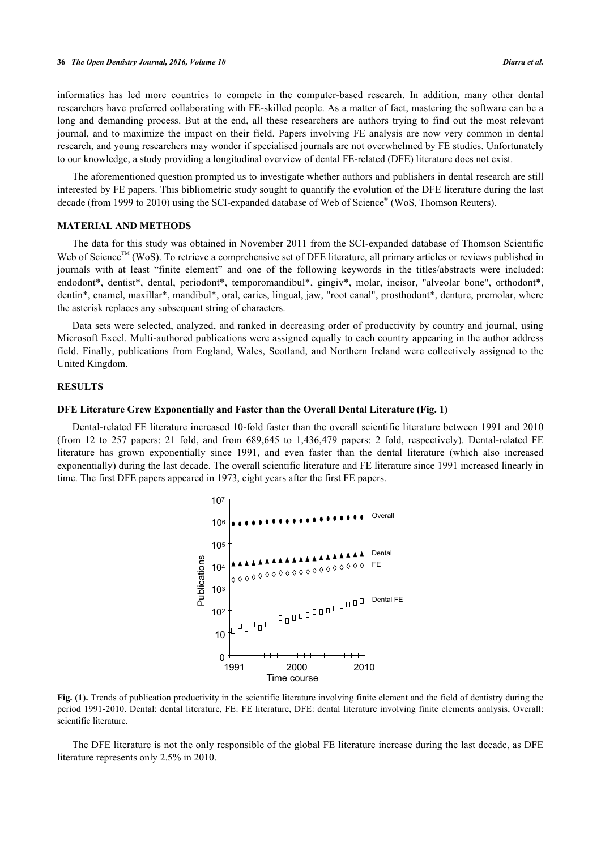informatics has led more countries to compete in the computer-based research. In addition, many other dental researchers have preferred collaborating with FE-skilled people. As a matter of fact, mastering the software can be a long and demanding process. But at the end, all these researchers are authors trying to find out the most relevant journal, and to maximize the impact on their field. Papers involving FE analysis are now very common in dental research, and young researchers may wonder if specialised journals are not overwhelmed by FE studies. Unfortunately to our knowledge, a study providing a longitudinal overview of dental FE-related (DFE) literature does not exist.

The aforementioned question prompted us to investigate whether authors and publishers in dental research are still interested by FE papers. This bibliometric study sought to quantify the evolution of the DFE literature during the last decade (from 1999 to 2010) using the SCI-expanded database of Web of Science<sup>®</sup> (WoS, Thomson Reuters).

#### **MATERIAL AND METHODS**

The data for this study was obtained in November 2011 from the SCI-expanded database of Thomson Scientific Web of Science<sup>TM</sup> (WoS). To retrieve a comprehensive set of DFE literature, all primary articles or reviews published in journals with at least "finite element" and one of the following keywords in the titles/abstracts were included: endodont\*, dentist\*, dental, periodont\*, temporomandibul\*, gingiv\*, molar, incisor, "alveolar bone", orthodont\*, dentin\*, enamel, maxillar\*, mandibul\*, oral, caries, lingual, jaw, "root canal", prosthodont\*, denture, premolar, where the asterisk replaces any subsequent string of characters.

Data sets were selected, analyzed, and ranked in decreasing order of productivity by country and journal, using Microsoft Excel. Multi-authored publications were assigned equally to each country appearing in the author address field. Finally, publications from England, Wales, Scotland, and Northern Ireland were collectively assigned to the United Kingdom.

#### **RESULTS**

#### **DFE Literature Grew Exponentially and Faster than the Overall Dental Literature (Fig. [1](#page-1-0))**

<span id="page-1-0"></span>Dental-related FE literature increased 10-fold faster than the overall scientific literature between 1991 and 2010 (from 12 to 257 papers: 21 fold, and from 689,645 to 1,436,479 papers: 2 fold, respectively). Dental-related FE literature has grown exponentially since 1991, and even faster than the dental literature (which also increased exponentially) during the last decade. The overall scientific literature and FE literature since 1991 increased linearly in time. The first DFE papers appeared in 1973, eight years after the first FE papers.



Fig. (1). Trends of publication productivity in the scientific literature involving finite element and the field of dentistry during the period 1991-2010. Dental: dental literature, FE: FE literature, DFE: dental literature involving finite elements analysis, Overall: scientific literature.

The DFE literature is not the only responsible of the global FE literature increase during the last decade, as DFE literature represents only 2.5% in 2010.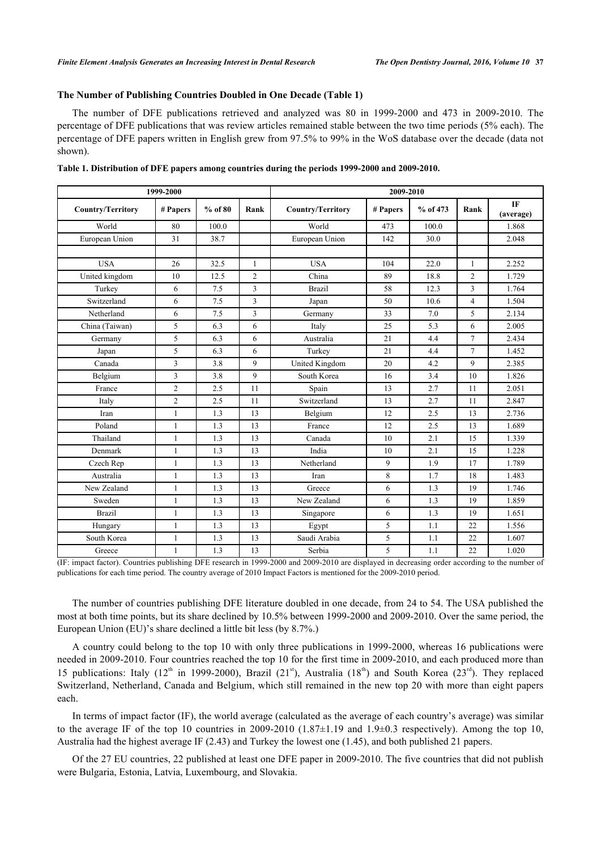#### **The Number of Publishing Countries Doubled in One Decade (Table [1](#page-2-0))**

The number of DFE publications retrieved and analyzed was 80 in 1999-2000 and 473 in 2009-2010. The percentage of DFE publications that was review articles remained stable between the two time periods (5% each). The percentage of DFE papers written in English grew from 97.5% to 99% in the WoS database over the decade (data not shown).

| 1999-2000                |                |           |                | 2009-2010                |            |          |                |                        |  |
|--------------------------|----------------|-----------|----------------|--------------------------|------------|----------|----------------|------------------------|--|
| <b>Country/Territory</b> | # Papers       | $%$ of 80 | Rank           | <b>Country/Territory</b> | # Papers   | % of 473 | Rank           | <b>IF</b><br>(average) |  |
| World                    | 80             | 100.0     |                | World                    | 473        | 100.0    |                | 1.868                  |  |
| European Union           | 31             | 38.7      |                | European Union           | 142        | 30.0     |                | 2.048                  |  |
|                          |                |           |                |                          |            |          |                |                        |  |
| <b>USA</b>               | 26             | 32.5      | $\mathbf{1}$   | <b>USA</b>               | 104        | 22.0     | 1              | 2.252                  |  |
| United kingdom           | 10             | 12.5      | $\overline{2}$ | China                    | 89<br>18.8 |          | $\overline{2}$ | 1.729                  |  |
| Turkey                   | 6              | 7.5       | 3              | <b>Brazil</b>            | 58         | 12.3     | 3              | 1.764                  |  |
| Switzerland              | 6              | 7.5       | 3              | Japan                    | 50         | 10.6     | $\overline{4}$ | 1.504                  |  |
| Netherland               | 6              | 7.5       | 3              | Germany                  | 33         | 7.0      | 5              | 2.134                  |  |
| China (Taiwan)           | 5              | 6.3       | 6              | Italy                    | 25         | 5.3      | 6              | 2.005                  |  |
| Germany                  | 5              | 6.3       | 6              | Australia                | 21         | 4.4      | $\overline{7}$ | 2.434                  |  |
| Japan                    | 5              | 6.3       | 6              | Turkey                   | 21         | 4.4      | $\overline{7}$ | 1.452                  |  |
| Canada                   | 3              | 3.8       | 9              | United Kingdom           | 20         | 4.2      | 9              | 2.385                  |  |
| Belgium                  | 3              | 3.8       | 9              | South Korea              | 3.4<br>16  |          | 10             | 1.826                  |  |
| France                   | $\overline{c}$ | 2.5       | 11             | Spain                    | 13<br>2.7  |          | 11             | 2.051                  |  |
| Italy                    | $\overline{c}$ | 2.5       | 11             | Switzerland              | 13<br>2.7  |          | 11             | 2.847                  |  |
| Iran                     | 1              | 1.3       | 13             | Belgium                  | 12         | 2.5      | 13             | 2.736                  |  |
| Poland                   | $\mathbf{1}$   | 1.3       | 13             | France                   | 12         | 2.5      | 13             | 1.689                  |  |
| Thailand                 | 1              | 1.3       | 13             | Canada                   | 10         | 2.1      | 15             | 1.339                  |  |
| Denmark                  | 1              | 1.3       | 13             | India                    | 10         | 2.1      | 15             | 1.228                  |  |
| Czech Rep                | 1              | 1.3       | 13             | Netherland               | 9          | 1.9      | 17             | 1.789                  |  |
| Australia                | 1              | 1.3       | 13             | 8<br>Iran                |            | 1.7      | 18             | 1.483                  |  |
| New Zealand              | 1              | 1.3       | 13             | 6<br>Greece              |            | 1.3      | 19             | 1.746                  |  |
| Sweden                   | 1              | 1.3       | 13             | New Zealand              | 6          | 1.3      | 19             | 1.859                  |  |
| <b>Brazil</b>            | 1              | 1.3       | 13             | 6<br>1.3<br>Singapore    |            | 19       | 1.651          |                        |  |
| Hungary                  | $\mathbf{1}$   | 1.3       | 13             | Egypt                    | 5          | 1.1      | 22             | 1.556                  |  |
| South Korea              | $\mathbf{1}$   | 1.3       | 13             | Saudi Arabia             | 5          | 1.1      | 22             | 1.607                  |  |
| Greece                   | $\mathbf{1}$   | 1.3       | 13             | 5<br>Serbia<br>1.1<br>22 |            |          | 1.020          |                        |  |

<span id="page-2-0"></span>**Table 1. Distribution of DFE papers among countries during the periods 1999-2000 and 2009-2010.**

(IF: impact factor). Countries publishing DFE research in 1999-2000 and 2009-2010 are displayed in decreasing order according to the number of publications for each time period. The country average of 2010 Impact Factors is mentioned for the 2009-2010 period.

The number of countries publishing DFE literature doubled in one decade, from 24 to 54. The USA published the most at both time points, but its share declined by 10.5% between 1999-2000 and 2009-2010. Over the same period, the European Union (EU)'s share declined a little bit less (by 8.7%.)

A country could belong to the top 10 with only three publications in 1999-2000, whereas 16 publications were needed in 2009-2010. Four countries reached the top 10 for the first time in 2009-2010, and each produced more than 15 publications: Italy ( $12<sup>th</sup>$  in 1999-2000), Brazil ( $21<sup>st</sup>$ ), Australia ( $18<sup>th</sup>$ ) and South Korea ( $23<sup>rd</sup>$ ). They replaced Switzerland, Netherland, Canada and Belgium, which still remained in the new top 20 with more than eight papers each.

In terms of impact factor (IF), the world average (calculated as the average of each country's average) was similar to the average IF of the top 10 countries in 2009-2010 (1.87 $\pm$ 1.19 and 1.9 $\pm$ 0.3 respectively). Among the top 10, Australia had the highest average IF (2.43) and Turkey the lowest one (1.45), and both published 21 papers.

Of the 27 EU countries, 22 published at least one DFE paper in 2009-2010. The five countries that did not publish were Bulgaria, Estonia, Latvia, Luxembourg, and Slovakia.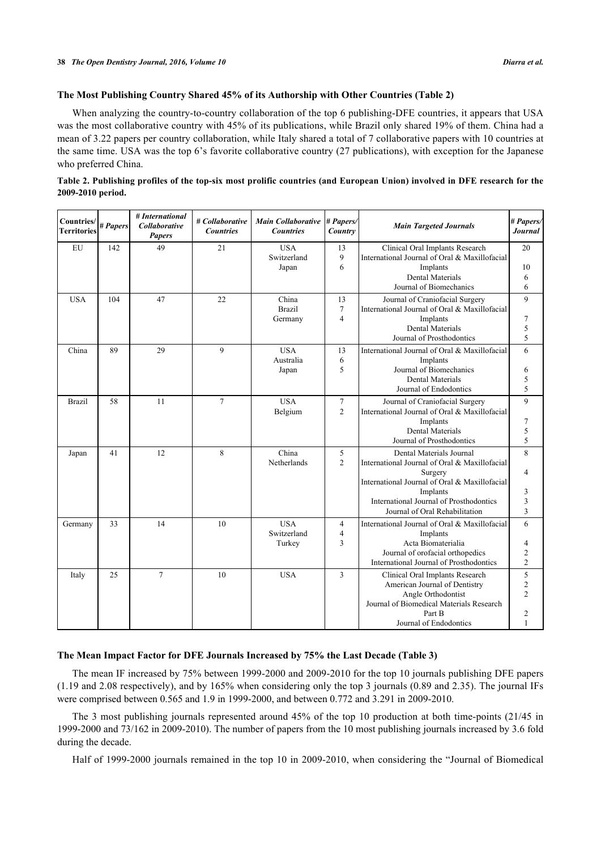## **The Most Publishing Country Shared 45% of its Authorship with Other Countries (Table [2](#page-3-0))**

When analyzing the country-to-country collaboration of the top 6 publishing-DFE countries, it appears that USA was the most collaborative country with 45% of its publications, while Brazil only shared 19% of them. China had a mean of 3.22 papers per country collaboration, while Italy shared a total of 7 collaborative papers with 10 countries at the same time. USA was the top 6's favorite collaborative country (27 publications), with exception for the Japanese who preferred China.

<span id="page-3-0"></span>

| Table 2. Publishing profiles of the top-six most prolific countries (and European Union) involved in DFE research for the |  |  |
|---------------------------------------------------------------------------------------------------------------------------|--|--|
| 2009-2010 period.                                                                                                         |  |  |

| Countries/<br><b>Territories</b> | # Papers | # International<br>Collaborative<br><b>Papers</b> | # Collaborative<br><b>Countries</b> | <b>Main Collaborative</b><br><b>Countries</b> | # Papers/<br>Country                   | <b>Main Targeted Journals</b>                                                                                                                                                                                                  | # Papers/<br><b>Journal</b>                     |
|----------------------------------|----------|---------------------------------------------------|-------------------------------------|-----------------------------------------------|----------------------------------------|--------------------------------------------------------------------------------------------------------------------------------------------------------------------------------------------------------------------------------|-------------------------------------------------|
| EU                               | 142      | 49                                                | 21                                  | <b>USA</b><br>Switzerland<br>Japan            | 13<br>9<br>6                           | Clinical Oral Implants Research<br>International Journal of Oral & Maxillofacial<br>Implants<br><b>Dental Materials</b><br>Journal of Biomechanics                                                                             | 20<br>10<br>6<br>6                              |
| <b>USA</b>                       | 104      | 47                                                | 22                                  | China<br><b>Brazil</b><br>Germany             | 13<br>$\overline{7}$<br>$\overline{4}$ | Journal of Craniofacial Surgery<br>International Journal of Oral & Maxillofacial<br>Implants<br><b>Dental Materials</b><br>Journal of Prosthodontics                                                                           | 9<br>7<br>5<br>5                                |
| China                            | 89       | 29                                                | 9                                   | <b>USA</b><br>Australia<br>Japan              | 13<br>6<br>5                           | International Journal of Oral & Maxillofacial<br>Implants<br>Journal of Biomechanics<br><b>Dental Materials</b><br>Journal of Endodontics                                                                                      | 6<br>6<br>5<br>5                                |
| Brazil                           | 58       | 11                                                | $\overline{7}$                      | <b>USA</b><br>Belgium                         | $\tau$<br>$\overline{2}$               | Journal of Craniofacial Surgery<br>International Journal of Oral & Maxillofacial<br>Implants<br>Dental Materials<br>Journal of Prosthodontics                                                                                  | 9<br>7<br>5<br>5                                |
| Japan                            | 41       | 12                                                | 8                                   | China<br>Netherlands                          | 5<br>$\overline{2}$                    | Dental Materials Journal<br>International Journal of Oral & Maxillofacial<br>Surgery<br>International Journal of Oral & Maxillofacial<br>Implants<br>International Journal of Prosthodontics<br>Journal of Oral Rehabilitation | 8<br>4<br>3<br>3<br>3                           |
| Germany                          | 33       | 14                                                | 10                                  | <b>USA</b><br>Switzerland<br>Turkey           | 4<br>4<br>3                            | International Journal of Oral & Maxillofacial<br>Implants<br>Acta Biomaterialia<br>Journal of orofacial orthopedics<br>International Journal of Prosthodontics                                                                 | 6<br>4<br>$\boldsymbol{2}$<br>$\overline{c}$    |
| Italy                            | 25       | $\overline{7}$                                    | 10                                  | <b>USA</b>                                    | 3                                      | Clinical Oral Implants Research<br>American Journal of Dentistry<br>Angle Orthodontist<br>Journal of Biomedical Materials Research<br>Part B<br>Journal of Endodontics                                                         | 5<br>$\overline{c}$<br>$\overline{2}$<br>2<br>1 |

### **The Mean Impact Factor for DFE Journals Increased by 75% the Last Decade (Table [3\)](#page-4-0)**

The mean IF increased by 75% between 1999-2000 and 2009-2010 for the top 10 journals publishing DFE papers (1.19 and 2.08 respectively), and by 165% when considering only the top 3 journals (0.89 and 2.35). The journal IFs were comprised between 0.565 and 1.9 in 1999-2000, and between 0.772 and 3.291 in 2009-2010.

The 3 most publishing journals represented around 45% of the top 10 production at both time-points (21/45 in 1999-2000 and 73/162 in 2009-2010). The number of papers from the 10 most publishing journals increased by 3.6 fold during the decade.

Half of 1999-2000 journals remained in the top 10 in 2009-2010, when considering the "Journal of Biomedical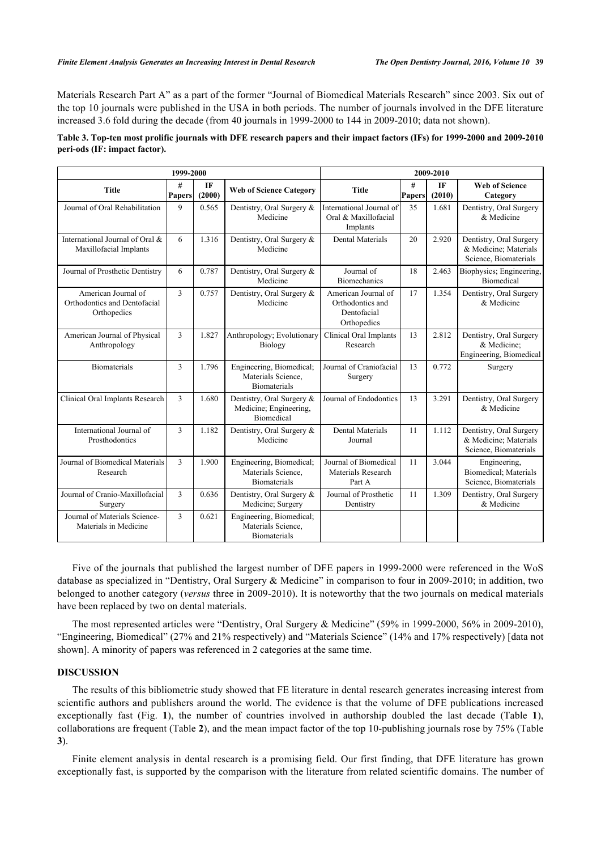Materials Research Part A" as a part of the former "Journal of Biomedical Materials Research" since 2003. Six out of the top 10 journals were published in the USA in both periods. The number of journals involved in the DFE literature increased 3.6 fold during the decade (from 40 journals in 1999-2000 to 144 in 2009-2010; data not shown).

# <span id="page-4-0"></span>**Table 3. Top-ten most prolific journals with DFE research papers and their impact factors (IFs) for 1999-2000 and 2009-2010 peri-ods (IF: impact factor).**

|                                                                    |                    | 2009-2010    |                                                                          |                                                                       |                    |              |                                                                           |
|--------------------------------------------------------------------|--------------------|--------------|--------------------------------------------------------------------------|-----------------------------------------------------------------------|--------------------|--------------|---------------------------------------------------------------------------|
| <b>Title</b>                                                       | #<br><b>Papers</b> | IF<br>(2000) | <b>Web of Science Category</b>                                           | <b>Title</b>                                                          | #<br><b>Papers</b> | IF<br>(2010) | <b>Web of Science</b><br>Category                                         |
| Journal of Oral Rehabilitation                                     | 9                  | 0.565        | Dentistry, Oral Surgery &<br>Medicine                                    | International Journal of<br>Oral & Maxillofacial<br>Implants          | 35                 | 1.681        | Dentistry, Oral Surgery<br>& Medicine                                     |
| International Journal of Oral &<br>Maxillofacial Implants          | 6                  | 1.316        | Dentistry, Oral Surgery &<br>Medicine                                    | <b>Dental Materials</b>                                               | 20                 | 2.920        | Dentistry, Oral Surgery<br>& Medicine; Materials<br>Science, Biomaterials |
| Journal of Prosthetic Dentistry                                    | 6                  | 0.787        | Dentistry, Oral Surgery &<br>Medicine                                    | Journal of<br><b>Biomechanics</b>                                     | 18                 | 2.463        | Biophysics; Engineering,<br><b>Biomedical</b>                             |
| American Journal of<br>Orthodontics and Dentofacial<br>Orthopedics | 3                  | 0.757        | Dentistry, Oral Surgery &<br>Medicine                                    | American Journal of<br>Orthodontics and<br>Dentofacial<br>Orthopedics | 17                 | 1.354        | Dentistry, Oral Surgery<br>& Medicine                                     |
| American Journal of Physical<br>Anthropology                       | 3                  | 1.827        | Anthropology; Evolutionary<br>Biology                                    | Clinical Oral Implants<br>Research                                    | 13                 | 2.812        | Dentistry, Oral Surgery<br>& Medicine;<br>Engineering, Biomedical         |
| <b>Biomaterials</b>                                                | 3                  | 1.796        | Engineering, Biomedical;<br>Materials Science,<br><b>Biomaterials</b>    | Journal of Craniofacial<br>Surgery                                    | 13                 | 0.772        | Surgery                                                                   |
| Clinical Oral Implants Research                                    | 3                  | 1.680        | Dentistry, Oral Surgery &<br>Medicine; Engineering,<br><b>Biomedical</b> | Journal of Endodontics                                                | 13                 | 3.291        | Dentistry, Oral Surgery<br>& Medicine                                     |
| International Journal of<br>Prosthodontics                         | 3                  | 1.182        | Dentistry, Oral Surgery &<br>Medicine                                    | <b>Dental Materials</b><br>Journal                                    | 11                 | 1.112        | Dentistry, Oral Surgery<br>& Medicine; Materials<br>Science, Biomaterials |
| Journal of Biomedical Materials<br>Research                        | 3                  | 1.900        | Engineering, Biomedical;<br>Materials Science,<br><b>Biomaterials</b>    | Journal of Biomedical<br>Materials Research<br>Part A                 | 11                 | 3.044        | Engineering,<br>Biomedical; Materials<br>Science, Biomaterials            |
| Journal of Cranio-Maxillofacial<br>Surgery                         | 3                  | 0.636        | Dentistry, Oral Surgery &<br>Medicine; Surgery                           | Journal of Prosthetic<br>Dentistry                                    | 11                 | 1.309        | Dentistry, Oral Surgery<br>& Medicine                                     |
| Journal of Materials Science-<br>Materials in Medicine             | 3                  | 0.621        | Engineering, Biomedical;<br>Materials Science,<br><b>Biomaterials</b>    |                                                                       |                    |              |                                                                           |

Five of the journals that published the largest number of DFE papers in 1999-2000 were referenced in the WoS database as specialized in "Dentistry, Oral Surgery & Medicine" in comparison to four in 2009-2010; in addition, two belonged to another category (*versus* three in 2009-2010). It is noteworthy that the two journals on medical materials have been replaced by two on dental materials.

The most represented articles were "Dentistry, Oral Surgery & Medicine" (59% in 1999-2000, 56% in 2009-2010), "Engineering, Biomedical" (27% and 21% respectively) and "Materials Science" (14% and 17% respectively) [\[data not](#page--1-0) [shown\]](#page--1-0). A minority of papers was referenced in 2 categories at the same time.

# **DISCUSSION**

The results of this bibliometric study showed that FE literature in dental research generates increasing interest from scientific authors and publishers around the world. The evidence is that the volume of DFE publications increased exceptionally fast (Fig.**1**), the number of countries involved in authorship doubled the last decade (Table**1**), collaborations are frequent (Table **[2](#page-3-0)**), and the mean impact factor of the top 10-publishing journals rose by 75% (Table **[3](#page-4-0)**).

Finite element analysis in dental research is a promising field. Our first finding, that DFE literature has grown exceptionally fast, is supported by the comparison with the literature from related scientific domains. The number of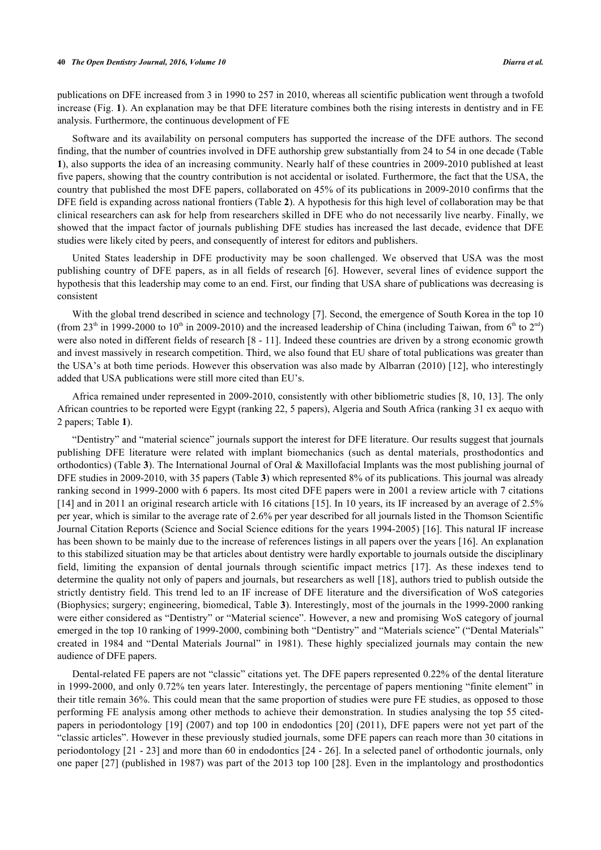publications on DFE increased from 3 in 1990 to 257 in 2010, whereas all scientific publication went through a twofold increase (Fig. **[1](#page-1-0)**). An explanation may be that DFE literature combines both the rising interests in dentistry and in FE analysis. Furthermore, the continuous development of FE

Software and its availability on personal computers has supported the increase of the DFE authors. The second finding, that the number of countries involved in DFE authorship grew substantially from 24 to 54 in one decade (Table **[1](#page-2-0)**), also supports the idea of an increasing community. Nearly half of these countries in 2009-2010 published at least five papers, showing that the country contribution is not accidental or isolated. Furthermore, the fact that the USA, the country that published the most DFE papers, collaborated on 45% of its publications in 2009-2010 confirms that the DFE field is expanding across national frontiers (Table **[2](#page-3-0)**). A hypothesis for this high level of collaboration may be that clinical researchers can ask for help from researchers skilled in DFE who do not necessarily live nearby. Finally, we showed that the impact factor of journals publishing DFE studies has increased the last decade, evidence that DFE studies were likely cited by peers, and consequently of interest for editors and publishers.

United States leadership in DFE productivity may be soon challenged. We observed that USA was the most publishing country of DFE papers, as in all fields of research [[6](#page-6-4)]. However, several lines of evidence support the hypothesis that this leadership may come to an end. First, our finding that USA share of publications was decreasing is consistent

With the global trend described in science and technology [\[7](#page-6-5)]. Second, the emergence of South Korea in the top 10 (from 23<sup>th</sup> in 1999-2000 to 10<sup>th</sup> in 2009-2010) and the increased leadership of China (including Taiwan, from 6<sup>th</sup> to 2<sup>nd</sup>) were also noted in different fields of research [[8](#page-6-6) - [11\]](#page-7-0). Indeed these countries are driven by a strong economic growth and invest massively in research competition. Third, we also found that EU share of total publications was greater than the USA's at both time periods. However this observation was also made by Albarran (2010) [[12](#page-7-1)], who interestingly added that USA publications were still more cited than EU's.

Africa remained under represented in 2009-2010, consistently with other bibliometric studies [[8,](#page-6-6) [10](#page-7-2), [13\]](#page-7-3). The only African countries to be reported were Egypt (ranking 22, 5 papers), Algeria and South Africa (ranking 31 ex aequo with 2 papers; Table **[1](#page-2-0)**).

"Dentistry" and "material science" journals support the interest for DFE literature. Our results suggest that journals publishing DFE literature were related with implant biomechanics (such as dental materials, prosthodontics and orthodontics) (Table **[3](#page-4-0)**). The International Journal of Oral & Maxillofacial Implants was the most publishing journal of DFE studies in 2009-2010, with 35 papers (Table **[3](#page-4-0)**) which represented 8% of its publications. This journal was already ranking second in 1999-2000 with 6 papers. Its most cited DFE papers were in 2001 a review article with 7 citations [\[14](#page-7-4)] and in 2011 an original research article with 16 citations [[15\]](#page-7-5). In 10 years, its IF increased by an average of 2.5% per year, which is similar to the average rate of 2.6% per year described for all journals listed in the Thomson Scientific Journal Citation Reports (Science and Social Science editions for the years 1994-2005) [[16](#page-7-6)]. This natural IF increase has been shown to be mainly due to the increase of references listings in all papers over the years [[16\]](#page-7-6). An explanation to this stabilized situation may be that articles about dentistry were hardly exportable to journals outside the disciplinary field, limiting the expansion of dental journals through scientific impact metrics[[17](#page-7-7)]. As these indexes tend to determine the quality not only of papers and journals, but researchers as well [[18\]](#page-7-8), authors tried to publish outside the strictly dentistry field. This trend led to an IF increase of DFE literature and the diversification of WoS categories (Biophysics; surgery; engineering, biomedical, Table **[3](#page-4-0)**). Interestingly, most of the journals in the 1999-2000 ranking were either considered as "Dentistry" or "Material science". However, a new and promising WoS category of journal emerged in the top 10 ranking of 1999-2000, combining both "Dentistry" and "Materials science" ("Dental Materials" created in 1984 and "Dental Materials Journal" in 1981). These highly specialized journals may contain the new audience of DFE papers.

Dental-related FE papers are not "classic" citations yet. The DFE papers represented 0.22% of the dental literature in 1999-2000, and only 0.72% ten years later. Interestingly, the percentage of papers mentioning "finite element" in their title remain 36%. This could mean that the same proportion of studies were pure FE studies, as opposed to those performing FE analysis among other methods to achieve their demonstration. In studies analysing the top 55 citedpapers in periodontology [[19\]](#page-7-9) (2007) and top 100 in endodontics [\[20](#page-7-10)] (2011), DFE papers were not yet part of the "classic articles". However in these previously studied journals, some DFE papers can reach more than 30 citations in periodontology [\[21](#page-7-11) - [23\]](#page-7-12) and more than 60 in endodontics [[24](#page-7-13) - [26](#page-7-14)]. In a selected panel of orthodontic journals, only one paper [[27](#page-7-15)] (published in 1987) was part of the 2013 top 100 [\[28\]](#page-7-16). Even in the implantology and prosthodontics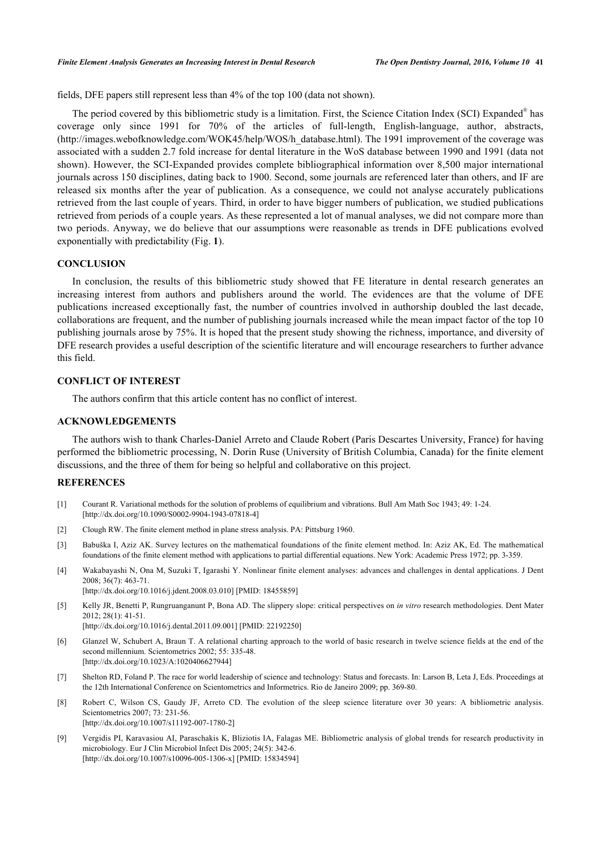fields, DFE papers still represent less than 4% of the top 100 (data not shown).

The period covered by this bibliometric study is a limitation. First, the Science Citation Index (SCI) Expanded<sup>®</sup> has coverage only since 1991 for 70% of the articles of full-length, English-language, author, abstracts, (http://images.webofknowledge.com/WOK45/help/WOS/h\_database.html). The 1991 improvement of the coverage was associated with a sudden 2.7 fold increase for dental literature in the WoS database between 1990 and 1991 (data not shown). However, the SCI-Expanded provides complete bibliographical information over 8,500 major international journals across 150 disciplines, dating back to 1900. Second, some journals are referenced later than others, and IF are released six months after the year of publication. As a consequence, we could not analyse accurately publications retrieved from the last couple of years. Third, in order to have bigger numbers of publication, we studied publications retrieved from periods of a couple years. As these represented a lot of manual analyses, we did not compare more than two periods. Anyway, we do believe that our assumptions were reasonable as trends in DFE publications evolved exponentially with predictability (Fig. **[1](#page-1-0)**).

## **CONCLUSION**

In conclusion, the results of this bibliometric study showed that FE literature in dental research generates an increasing interest from authors and publishers around the world. The evidences are that the volume of DFE publications increased exceptionally fast, the number of countries involved in authorship doubled the last decade, collaborations are frequent, and the number of publishing journals increased while the mean impact factor of the top 10 publishing journals arose by 75%. It is hoped that the present study showing the richness, importance, and diversity of DFE research provides a useful description of the scientific literature and will encourage researchers to further advance this field.

# **CONFLICT OF INTEREST**

The authors confirm that this article content has no conflict of interest.

# **ACKNOWLEDGEMENTS**

The authors wish to thank Charles-Daniel Arreto and Claude Robert (Paris Descartes University, France) for having performed the bibliometric processing, N. Dorin Ruse (University of British Columbia, Canada) for the finite element discussions, and the three of them for being so helpful and collaborative on this project.

# **REFERENCES**

- <span id="page-6-0"></span>[1] Courant R. Variational methods for the solution of problems of equilibrium and vibrations. Bull Am Math Soc 1943; 49: 1-24. [\[http://dx.doi.org/10.1090/S0002-9904-1943-07818-4\]](http://dx.doi.org/10.1090/S0002-9904-1943-07818-4)
- [2] Clough RW. The finite element method in plane stress analysis. PA: Pittsburg 1960.
- <span id="page-6-1"></span>[3] Babuška I, Aziz AK. Survey lectures on the mathematical foundations of the finite element method. In: Aziz AK, Ed. The mathematical foundations of the finite element method with applications to partial differential equations. New York: Academic Press 1972; pp. 3-359.
- <span id="page-6-2"></span>[4] Wakabayashi N, Ona M, Suzuki T, Igarashi Y. Nonlinear finite element analyses: advances and challenges in dental applications. J Dent 2008; 36(7): 463-71. [\[http://dx.doi.org/10.1016/j.jdent.2008.03.010](http://dx.doi.org/10.1016/j.jdent.2008.03.010)] [PMID: [18455859\]](http://www.ncbi.nlm.nih.gov/pubmed/18455859)
- <span id="page-6-3"></span>[5] Kelly JR, Benetti P, Rungruanganunt P, Bona AD. The slippery slope: critical perspectives on *in vitro* research methodologies. Dent Mater 2012; 28(1): 41-51. [\[http://dx.doi.org/10.1016/j.dental.2011.09.001\]](http://dx.doi.org/10.1016/j.dental.2011.09.001) [PMID: [22192250](http://www.ncbi.nlm.nih.gov/pubmed/22192250)]
- <span id="page-6-4"></span>[6] Glanzel W, Schubert A, Braun T. A relational charting approach to the world of basic research in twelve science fields at the end of the second millennium. Scientometrics 2002; 55: 335-48. [\[http://dx.doi.org/10.1023/A:1020406627944\]](http://dx.doi.org/10.1023/A:1020406627944)
- <span id="page-6-5"></span>[7] Shelton RD, Foland P. The race for world leadership of science and technology: Status and forecasts. In: Larson B, Leta J, Eds. Proceedings at the 12th International Conference on Scientometrics and Informetrics. Rio de Janeiro 2009; pp. 369-80.
- <span id="page-6-6"></span>[8] Robert C, Wilson CS, Gaudy JF, Arreto CD. The evolution of the sleep science literature over 30 years: A bibliometric analysis. Scientometrics 2007; 73: 231-56. [\[http://dx.doi.org/10.1007/s11192-007-1780-2\]](http://dx.doi.org/10.1007/s11192-007-1780-2)
- [9] Vergidis PI, Karavasiou AI, Paraschakis K, Bliziotis IA, Falagas ME. Bibliometric analysis of global trends for research productivity in microbiology. Eur J Clin Microbiol Infect Dis 2005; 24(5): 342-6. [\[http://dx.doi.org/10.1007/s10096-005-1306-x\]](http://dx.doi.org/10.1007/s10096-005-1306-x) [PMID: [15834594](http://www.ncbi.nlm.nih.gov/pubmed/15834594)]